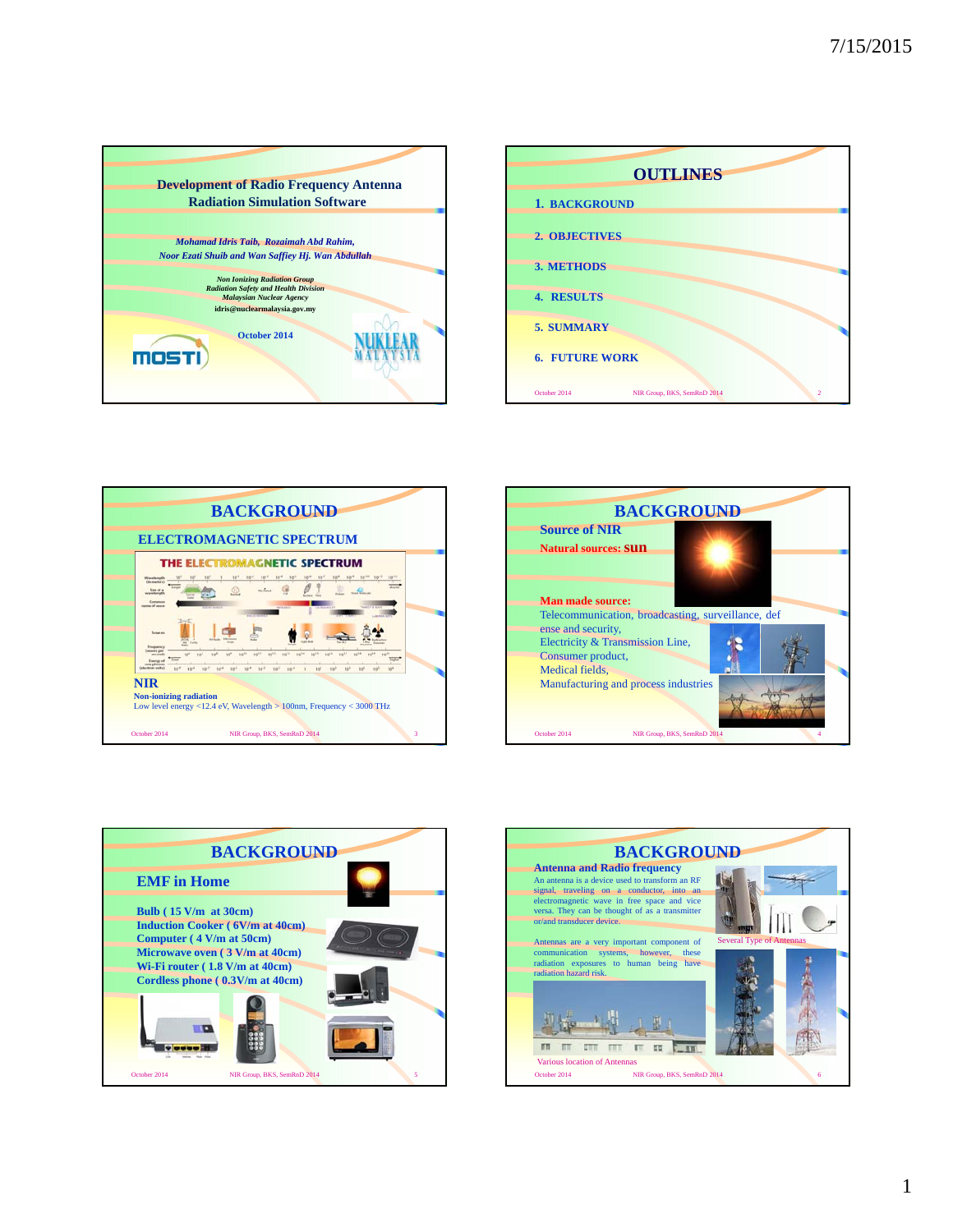









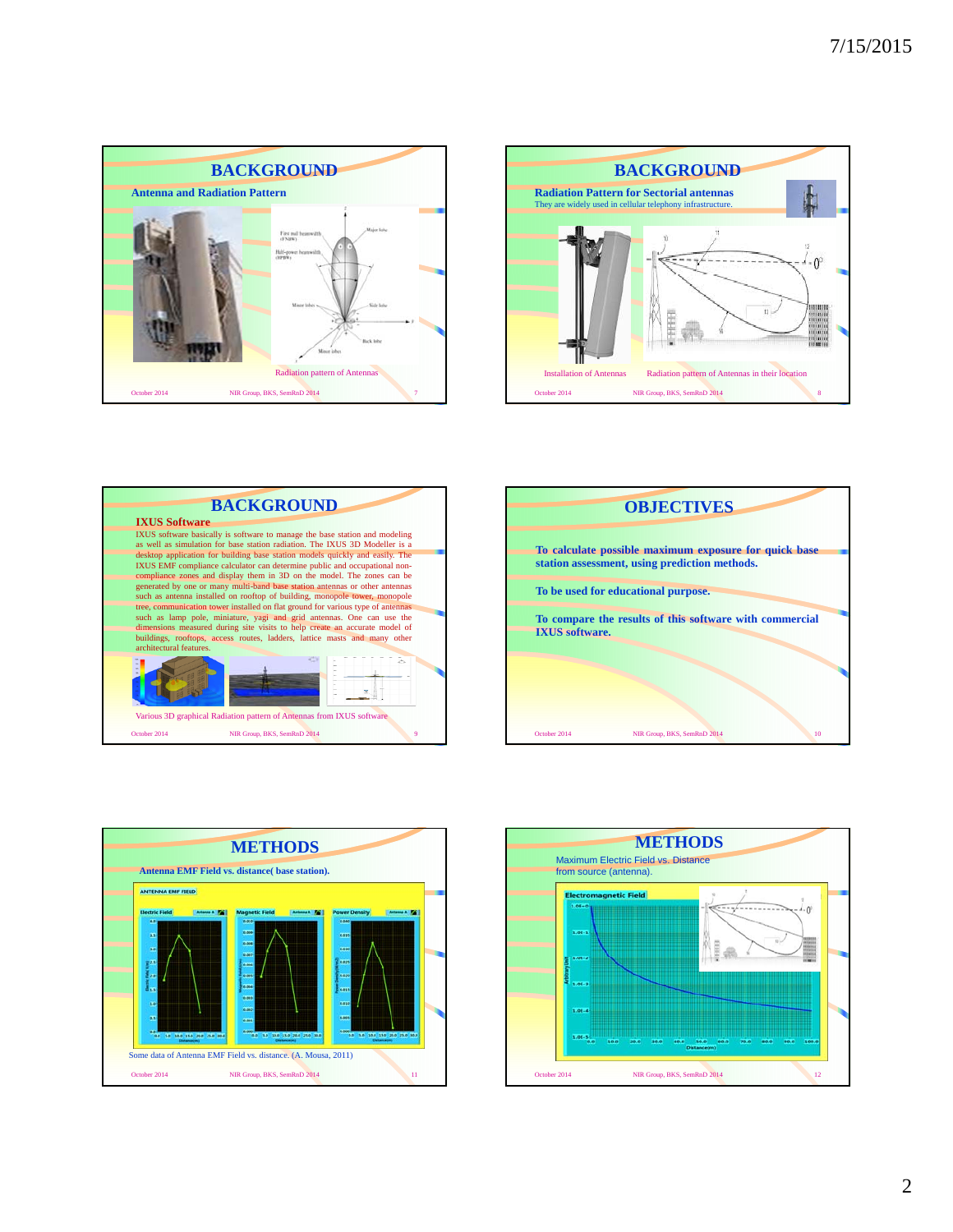